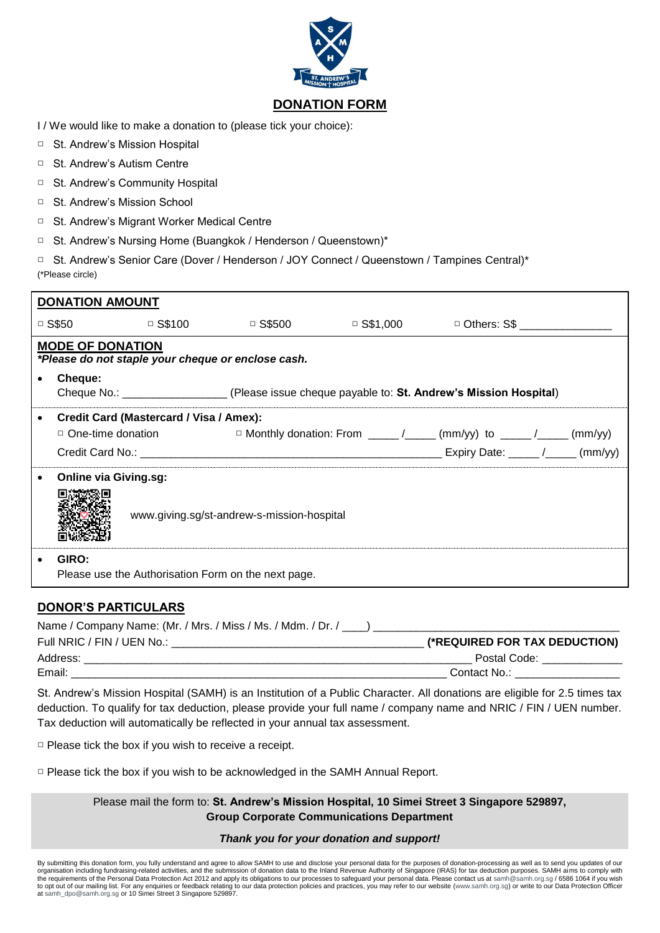

- I / We would like to make a donation to (please tick your choice):
- □ St. Andrew's Mission Hospital
- □ St. Andrew's Autism Centre
- □ St. Andrew's Community Hospital
- □ St. Andrew's Mission School
- □ St. Andrew's Migrant Worker Medical Centre
- □ St. Andrew's Nursing Home (Buangkok / Henderson / Queenstown)\*
- □ St. Andrew's Senior Care (Dover / Henderson / JOY Connect / Queenstown / Tampines Central)\* (\*Please circle)

| <b>DONATION AMOUNT</b>                                                        |                                                                            |                                         |                                                                                                |  |                                                                                               |  |  |
|-------------------------------------------------------------------------------|----------------------------------------------------------------------------|-----------------------------------------|------------------------------------------------------------------------------------------------|--|-----------------------------------------------------------------------------------------------|--|--|
|                                                                               | $\Box$ S\$50                                                               | $\Box$ S\$100                           | □ S\$500                                                                                       |  | $\Box$ S\$1,000 $\Box$ Others: S\$                                                            |  |  |
| <b>MODE OF DONATION</b><br>*Please do not staple your cheque or enclose cash. |                                                                            |                                         |                                                                                                |  |                                                                                               |  |  |
|                                                                               | Cheque:                                                                    |                                         | Cheque No.: ___________________(Please issue cheque payable to: St. Andrew's Mission Hospital) |  |                                                                                               |  |  |
|                                                                               |                                                                            | Credit Card (Mastercard / Visa / Amex): |                                                                                                |  | $\Box$ One-time donation $\Box$ Monthly donation: From ____/____ (mm/yy) to ____/____ (mm/yy) |  |  |
| $\bullet$                                                                     | <b>Online via Giving.sg:</b><br>www.giving.sg/st-andrew-s-mission-hospital |                                         |                                                                                                |  |                                                                                               |  |  |
| $\bullet$                                                                     | GIRO:<br>Please use the Authorisation Form on the next page.               |                                         |                                                                                                |  |                                                                                               |  |  |

## **DONOR'S PARTICULARS**

| Name / Company Name: (Mr. / Mrs. / Miss / Ms. / Mdm. / Dr. / |                               |
|--------------------------------------------------------------|-------------------------------|
| Full NRIC / FIN / UEN No.:                                   | (*REQUIRED FOR TAX DEDUCTION) |
| Address:                                                     | Postal Code:                  |
| Email:                                                       | Contact No.:                  |

St. Andrew's Mission Hospital (SAMH) is an Institution of a Public Character. All donations are eligible for 2.5 times tax deduction. To qualify for tax deduction, please provide your full name / company name and NRIC / FIN / UEN number. Tax deduction will automatically be reflected in your annual tax assessment.

□ Please tick the box if you wish to receive a receipt.

□ Please tick the box if you wish to be acknowledged in the SAMH Annual Report.

Please mail the form to: **St. Andrew's Mission Hospital, 10 Simei Street 3 Singapore 529897, Group Corporate Communications Department**

## *Thank you for your donation and support!*

By submitting this donation form, you fully understand and agree to allow SAMH to use and disclose your personal data for the purposes of donation-processing as well as to send you updates of our<br>organisation including fun the requirements of the Personal Data Protection Act 2012 and apply its obligations to our processes to safeguard your personal data. Please contact us at [samh@samh.org.sg](mailto:samh@samh.org.sg) / 6586 1064 if you wish to opt out of our mailing list. For any enquiries or feedback relating to our data protection policies and practices, you may refer to our website [\(www.samh.org.sg\)](http://www.samh.org.sg/) or write to our Data Protection Officer a[t samh\\_dpo@samh.org.sg](mailto:samh_dpo@samh.org.sg) or 10 Simei Street 3 Singapore 529897.